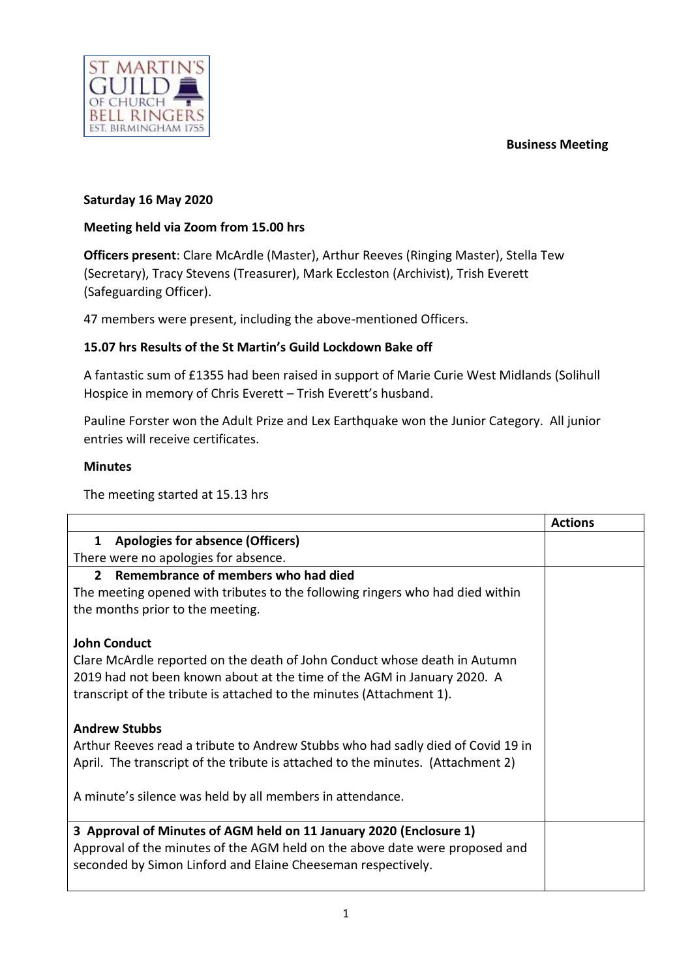**Business Meeting**



## **Saturday 16 May 2020**

## **Meeting held via Zoom from 15.00 hrs**

**Officers present**: Clare McArdle (Master), Arthur Reeves (Ringing Master), Stella Tew (Secretary), Tracy Stevens (Treasurer), Mark Eccleston (Archivist), Trish Everett (Safeguarding Officer).

47 members were present, including the above-mentioned Officers.

## **15.07 hrs Results of the St Martin's Guild Lockdown Bake off**

A fantastic sum of £1355 had been raised in support of Marie Curie West Midlands (Solihull Hospice in memory of Chris Everett – Trish Everett's husband.

Pauline Forster won the Adult Prize and Lex Earthquake won the Junior Category. All junior entries will receive certificates.

## **Minutes**

The meeting started at 15.13 hrs

|                                                                                 | <b>Actions</b> |
|---------------------------------------------------------------------------------|----------------|
| <b>Apologies for absence (Officers)</b><br>$\mathbf{1}$                         |                |
| There were no apologies for absence.                                            |                |
| Remembrance of members who had died<br>$2^{\circ}$                              |                |
| The meeting opened with tributes to the following ringers who had died within   |                |
| the months prior to the meeting.                                                |                |
|                                                                                 |                |
| <b>John Conduct</b>                                                             |                |
| Clare McArdle reported on the death of John Conduct whose death in Autumn       |                |
| 2019 had not been known about at the time of the AGM in January 2020. A         |                |
| transcript of the tribute is attached to the minutes (Attachment 1).            |                |
|                                                                                 |                |
| <b>Andrew Stubbs</b>                                                            |                |
| Arthur Reeves read a tribute to Andrew Stubbs who had sadly died of Covid 19 in |                |
| April. The transcript of the tribute is attached to the minutes. (Attachment 2) |                |
|                                                                                 |                |
| A minute's silence was held by all members in attendance.                       |                |
|                                                                                 |                |
| 3 Approval of Minutes of AGM held on 11 January 2020 (Enclosure 1)              |                |
| Approval of the minutes of the AGM held on the above date were proposed and     |                |
| seconded by Simon Linford and Elaine Cheeseman respectively.                    |                |
|                                                                                 |                |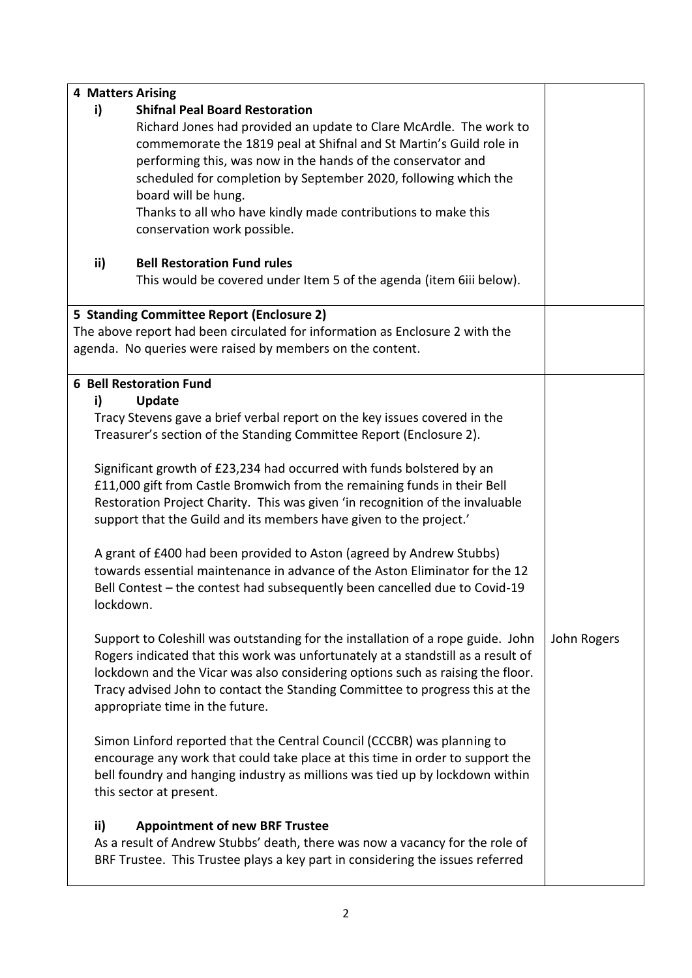| <b>4 Matters Arising</b> |                                                                                                                                                     |             |  |  |  |
|--------------------------|-----------------------------------------------------------------------------------------------------------------------------------------------------|-------------|--|--|--|
| i)                       |                                                                                                                                                     |             |  |  |  |
|                          | Richard Jones had provided an update to Clare McArdle. The work to                                                                                  |             |  |  |  |
|                          | commemorate the 1819 peal at Shifnal and St Martin's Guild role in                                                                                  |             |  |  |  |
|                          | performing this, was now in the hands of the conservator and                                                                                        |             |  |  |  |
|                          | scheduled for completion by September 2020, following which the                                                                                     |             |  |  |  |
|                          | board will be hung.                                                                                                                                 |             |  |  |  |
|                          | Thanks to all who have kindly made contributions to make this                                                                                       |             |  |  |  |
|                          | conservation work possible.                                                                                                                         |             |  |  |  |
|                          | ii)<br><b>Bell Restoration Fund rules</b>                                                                                                           |             |  |  |  |
|                          | This would be covered under Item 5 of the agenda (item 6iii below).                                                                                 |             |  |  |  |
|                          | 5 Standing Committee Report (Enclosure 2)                                                                                                           |             |  |  |  |
|                          | The above report had been circulated for information as Enclosure 2 with the                                                                        |             |  |  |  |
|                          | agenda. No queries were raised by members on the content.                                                                                           |             |  |  |  |
|                          |                                                                                                                                                     |             |  |  |  |
|                          | <b>6 Bell Restoration Fund</b>                                                                                                                      |             |  |  |  |
| i)                       | <b>Update</b>                                                                                                                                       |             |  |  |  |
|                          | Tracy Stevens gave a brief verbal report on the key issues covered in the<br>Treasurer's section of the Standing Committee Report (Enclosure 2).    |             |  |  |  |
|                          |                                                                                                                                                     |             |  |  |  |
|                          | Significant growth of £23,234 had occurred with funds bolstered by an                                                                               |             |  |  |  |
|                          | £11,000 gift from Castle Bromwich from the remaining funds in their Bell                                                                            |             |  |  |  |
|                          |                                                                                                                                                     |             |  |  |  |
|                          | Restoration Project Charity. This was given 'in recognition of the invaluable<br>support that the Guild and its members have given to the project.' |             |  |  |  |
|                          |                                                                                                                                                     |             |  |  |  |
|                          | A grant of £400 had been provided to Aston (agreed by Andrew Stubbs)                                                                                |             |  |  |  |
|                          | towards essential maintenance in advance of the Aston Eliminator for the 12                                                                         |             |  |  |  |
|                          | Bell Contest - the contest had subsequently been cancelled due to Covid-19                                                                          |             |  |  |  |
|                          | lockdown.                                                                                                                                           |             |  |  |  |
|                          |                                                                                                                                                     |             |  |  |  |
|                          | Support to Coleshill was outstanding for the installation of a rope guide. John                                                                     | John Rogers |  |  |  |
|                          | Rogers indicated that this work was unfortunately at a standstill as a result of                                                                    |             |  |  |  |
|                          | lockdown and the Vicar was also considering options such as raising the floor.                                                                      |             |  |  |  |
|                          | Tracy advised John to contact the Standing Committee to progress this at the                                                                        |             |  |  |  |
|                          | appropriate time in the future.                                                                                                                     |             |  |  |  |
|                          |                                                                                                                                                     |             |  |  |  |
|                          | Simon Linford reported that the Central Council (CCCBR) was planning to                                                                             |             |  |  |  |
|                          | encourage any work that could take place at this time in order to support the                                                                       |             |  |  |  |
|                          | bell foundry and hanging industry as millions was tied up by lockdown within<br>this sector at present.                                             |             |  |  |  |
|                          |                                                                                                                                                     |             |  |  |  |
|                          | ii)<br><b>Appointment of new BRF Trustee</b>                                                                                                        |             |  |  |  |
|                          | As a result of Andrew Stubbs' death, there was now a vacancy for the role of                                                                        |             |  |  |  |
|                          | BRF Trustee. This Trustee plays a key part in considering the issues referred                                                                       |             |  |  |  |
|                          |                                                                                                                                                     |             |  |  |  |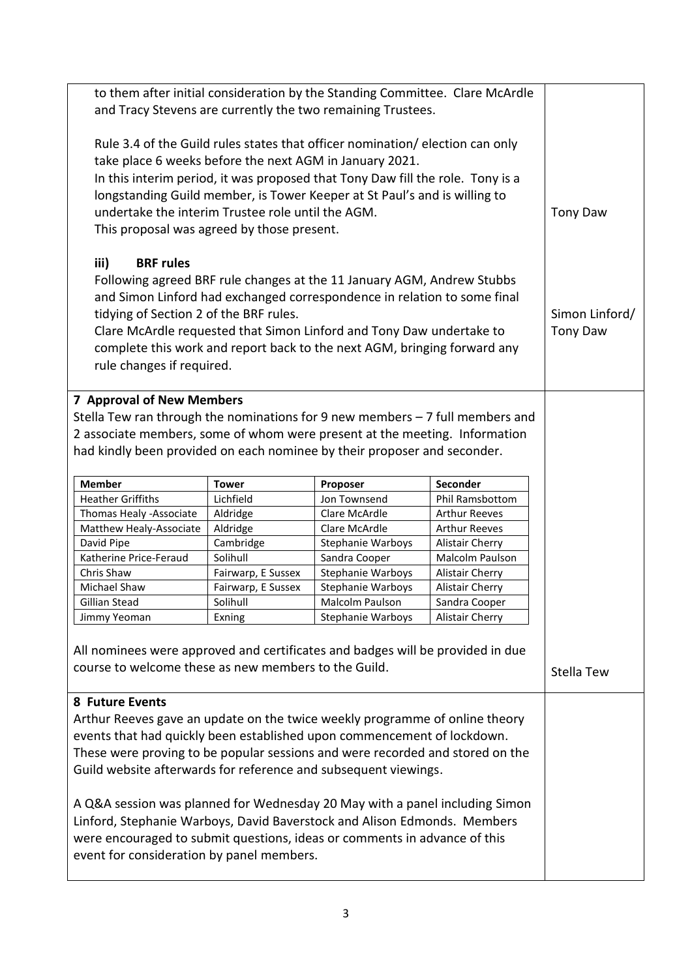| to them after initial consideration by the Standing Committee. Clare McArdle<br>and Tracy Stevens are currently the two remaining Trustees. |                       |                                                                                |                                    |                 |  |
|---------------------------------------------------------------------------------------------------------------------------------------------|-----------------------|--------------------------------------------------------------------------------|------------------------------------|-----------------|--|
| Rule 3.4 of the Guild rules states that officer nomination/election can only<br>take place 6 weeks before the next AGM in January 2021.     |                       |                                                                                |                                    |                 |  |
|                                                                                                                                             |                       | In this interim period, it was proposed that Tony Daw fill the role. Tony is a |                                    |                 |  |
|                                                                                                                                             |                       | longstanding Guild member, is Tower Keeper at St Paul's and is willing to      |                                    |                 |  |
| undertake the interim Trustee role until the AGM.                                                                                           |                       |                                                                                |                                    | <b>Tony Daw</b> |  |
| This proposal was agreed by those present.                                                                                                  |                       |                                                                                |                                    |                 |  |
| iii)<br><b>BRF</b> rules                                                                                                                    |                       |                                                                                |                                    |                 |  |
|                                                                                                                                             |                       | Following agreed BRF rule changes at the 11 January AGM, Andrew Stubbs         |                                    |                 |  |
|                                                                                                                                             |                       | and Simon Linford had exchanged correspondence in relation to some final       |                                    |                 |  |
| tidying of Section 2 of the BRF rules.                                                                                                      |                       |                                                                                |                                    | Simon Linford/  |  |
|                                                                                                                                             |                       | Clare McArdle requested that Simon Linford and Tony Daw undertake to           |                                    | <b>Tony Daw</b> |  |
|                                                                                                                                             |                       | complete this work and report back to the next AGM, bringing forward any       |                                    |                 |  |
| rule changes if required.                                                                                                                   |                       |                                                                                |                                    |                 |  |
| <b>7 Approval of New Members</b>                                                                                                            |                       |                                                                                |                                    |                 |  |
| Stella Tew ran through the nominations for 9 new members - 7 full members and                                                               |                       |                                                                                |                                    |                 |  |
| 2 associate members, some of whom were present at the meeting. Information                                                                  |                       |                                                                                |                                    |                 |  |
|                                                                                                                                             |                       |                                                                                |                                    |                 |  |
| had kindly been provided on each nominee by their proposer and seconder.                                                                    |                       |                                                                                |                                    |                 |  |
| <b>Member</b>                                                                                                                               | <b>Tower</b>          | Proposer                                                                       | Seconder                           |                 |  |
| <b>Heather Griffiths</b>                                                                                                                    | Lichfield             | Jon Townsend                                                                   | Phil Ramsbottom                    |                 |  |
| Thomas Healy -Associate                                                                                                                     | Aldridge              | Clare McArdle                                                                  | <b>Arthur Reeves</b>               |                 |  |
| Matthew Healy-Associate                                                                                                                     | Aldridge              | Clare McArdle                                                                  | <b>Arthur Reeves</b>               |                 |  |
| David Pipe<br>Katherine Price-Feraud                                                                                                        | Cambridge<br>Solihull | Stephanie Warboys<br>Sandra Cooper                                             | Alistair Cherry<br>Malcolm Paulson |                 |  |
| Chris Shaw                                                                                                                                  | Fairwarp, E Sussex    | Stephanie Warboys                                                              | Alistair Cherry                    |                 |  |
| Michael Shaw                                                                                                                                | Fairwarp, E Sussex    | <b>Stephanie Warboys</b>                                                       | Alistair Cherry                    |                 |  |
| Gillian Stead                                                                                                                               | Solihull              | Malcolm Paulson                                                                | Sandra Cooper                      |                 |  |
| Jimmy Yeoman                                                                                                                                | Exning                | Stephanie Warboys                                                              | Alistair Cherry                    |                 |  |
|                                                                                                                                             |                       |                                                                                |                                    |                 |  |
| All nominees were approved and certificates and badges will be provided in due                                                              |                       |                                                                                |                                    |                 |  |
| course to welcome these as new members to the Guild.                                                                                        |                       |                                                                                |                                    | Stella Tew      |  |
| 8 Future Events                                                                                                                             |                       |                                                                                |                                    |                 |  |
|                                                                                                                                             |                       |                                                                                |                                    |                 |  |
| Arthur Reeves gave an update on the twice weekly programme of online theory                                                                 |                       |                                                                                |                                    |                 |  |
| events that had quickly been established upon commencement of lockdown.                                                                     |                       |                                                                                |                                    |                 |  |
| These were proving to be popular sessions and were recorded and stored on the                                                               |                       |                                                                                |                                    |                 |  |
| Guild website afterwards for reference and subsequent viewings.                                                                             |                       |                                                                                |                                    |                 |  |
| A Q&A session was planned for Wednesday 20 May with a panel including Simon                                                                 |                       |                                                                                |                                    |                 |  |
| Linford, Stephanie Warboys, David Baverstock and Alison Edmonds. Members                                                                    |                       |                                                                                |                                    |                 |  |
| were encouraged to submit questions, ideas or comments in advance of this                                                                   |                       |                                                                                |                                    |                 |  |
|                                                                                                                                             |                       |                                                                                |                                    |                 |  |
| event for consideration by panel members.                                                                                                   |                       |                                                                                |                                    |                 |  |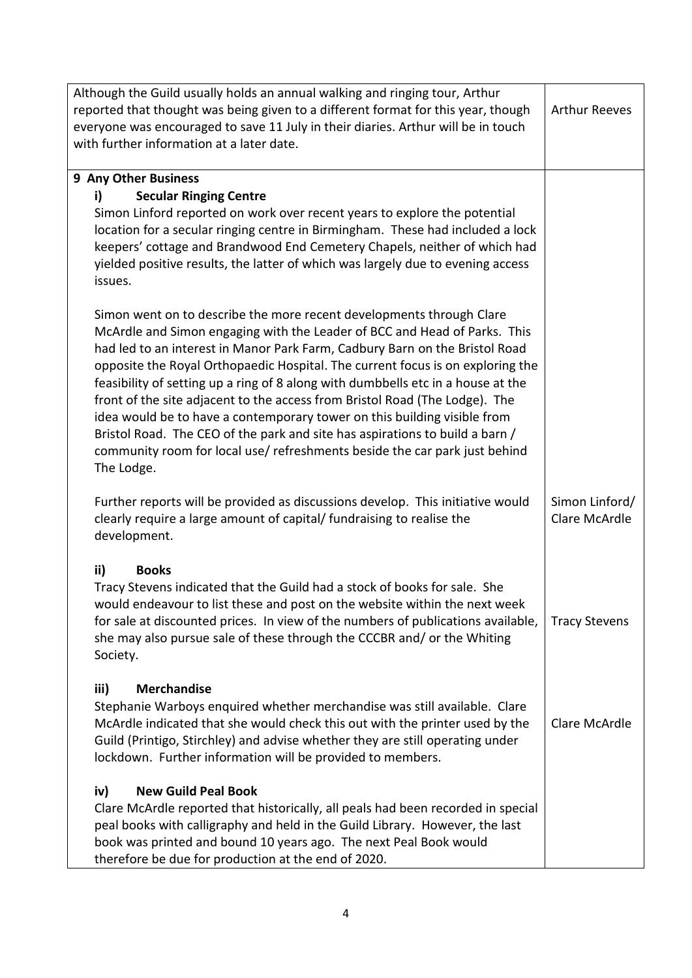| Although the Guild usually holds an annual walking and ringing tour, Arthur<br>reported that thought was being given to a different format for this year, though<br>everyone was encouraged to save 11 July in their diaries. Arthur will be in touch<br>with further information at a later date.                                                                                                                                                                                                                                                                                                                                                                                                                                            | <b>Arthur Reeves</b>            |
|-----------------------------------------------------------------------------------------------------------------------------------------------------------------------------------------------------------------------------------------------------------------------------------------------------------------------------------------------------------------------------------------------------------------------------------------------------------------------------------------------------------------------------------------------------------------------------------------------------------------------------------------------------------------------------------------------------------------------------------------------|---------------------------------|
|                                                                                                                                                                                                                                                                                                                                                                                                                                                                                                                                                                                                                                                                                                                                               |                                 |
| 9 Any Other Business<br><b>Secular Ringing Centre</b><br>i)                                                                                                                                                                                                                                                                                                                                                                                                                                                                                                                                                                                                                                                                                   |                                 |
| Simon Linford reported on work over recent years to explore the potential<br>location for a secular ringing centre in Birmingham. These had included a lock<br>keepers' cottage and Brandwood End Cemetery Chapels, neither of which had<br>yielded positive results, the latter of which was largely due to evening access<br>issues.                                                                                                                                                                                                                                                                                                                                                                                                        |                                 |
| Simon went on to describe the more recent developments through Clare<br>McArdle and Simon engaging with the Leader of BCC and Head of Parks. This<br>had led to an interest in Manor Park Farm, Cadbury Barn on the Bristol Road<br>opposite the Royal Orthopaedic Hospital. The current focus is on exploring the<br>feasibility of setting up a ring of 8 along with dumbbells etc in a house at the<br>front of the site adjacent to the access from Bristol Road (The Lodge). The<br>idea would be to have a contemporary tower on this building visible from<br>Bristol Road. The CEO of the park and site has aspirations to build a barn /<br>community room for local use/ refreshments beside the car park just behind<br>The Lodge. |                                 |
| Further reports will be provided as discussions develop. This initiative would<br>clearly require a large amount of capital/ fundraising to realise the<br>development.                                                                                                                                                                                                                                                                                                                                                                                                                                                                                                                                                                       | Simon Linford/<br>Clare McArdle |
| ii)<br><b>Books</b>                                                                                                                                                                                                                                                                                                                                                                                                                                                                                                                                                                                                                                                                                                                           |                                 |
| Tracy Stevens indicated that the Guild had a stock of books for sale. She<br>would endeavour to list these and post on the website within the next week<br>for sale at discounted prices. In view of the numbers of publications available,<br>she may also pursue sale of these through the CCCBR and/ or the Whiting<br>Society.                                                                                                                                                                                                                                                                                                                                                                                                            | <b>Tracy Stevens</b>            |
| iii)<br><b>Merchandise</b><br>Stephanie Warboys enquired whether merchandise was still available. Clare<br>McArdle indicated that she would check this out with the printer used by the<br>Guild (Printigo, Stirchley) and advise whether they are still operating under<br>lockdown. Further information will be provided to members.                                                                                                                                                                                                                                                                                                                                                                                                        | Clare McArdle                   |
| <b>New Guild Peal Book</b><br>iv)<br>Clare McArdle reported that historically, all peals had been recorded in special<br>peal books with calligraphy and held in the Guild Library. However, the last<br>book was printed and bound 10 years ago. The next Peal Book would<br>therefore be due for production at the end of 2020.                                                                                                                                                                                                                                                                                                                                                                                                             |                                 |